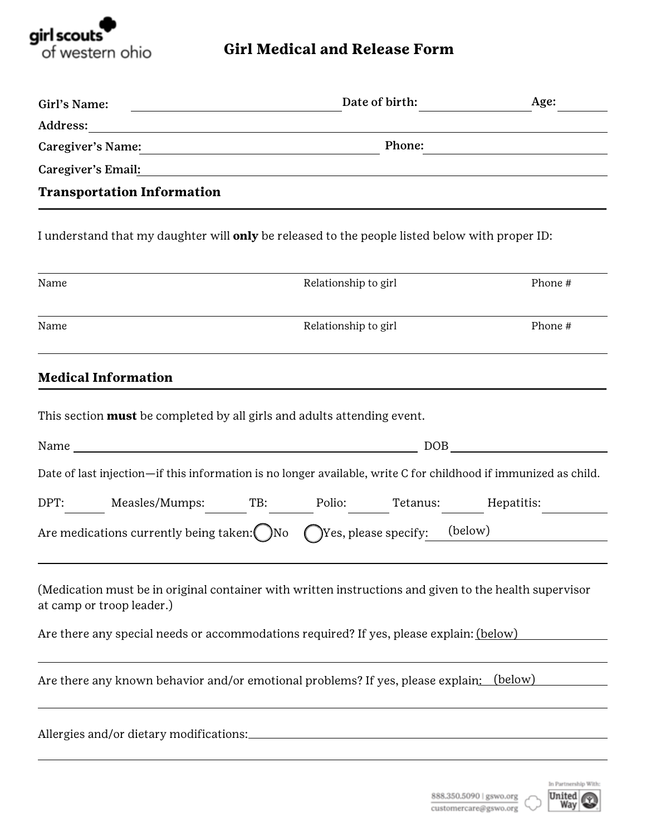

## **Girl Medical and Release Form**

| Girl's Name:                                                                                                                        | Date of birth:                                                                                                       | Age:                                                                                                                                                                                                                           |  |
|-------------------------------------------------------------------------------------------------------------------------------------|----------------------------------------------------------------------------------------------------------------------|--------------------------------------------------------------------------------------------------------------------------------------------------------------------------------------------------------------------------------|--|
|                                                                                                                                     |                                                                                                                      |                                                                                                                                                                                                                                |  |
| Caregiver's Name: 2008 and 2008 and 2008 and 2008 and 2008 and 2008 and 2008 and 2008 and 2008 and 2008 and 20                      | Phone:                                                                                                               |                                                                                                                                                                                                                                |  |
| Caregiver's Email:                                                                                                                  | <u> 1989 - Andrea State Barbara, amerikan personal di sebagai personal di sebagai personal di sebagai personal d</u> |                                                                                                                                                                                                                                |  |
| <b>Transportation Information</b>                                                                                                   |                                                                                                                      |                                                                                                                                                                                                                                |  |
| I understand that my daughter will <b>only</b> be released to the people listed below with proper ID:                               |                                                                                                                      |                                                                                                                                                                                                                                |  |
| Name                                                                                                                                | Relationship to girl                                                                                                 | Phone #                                                                                                                                                                                                                        |  |
| Name                                                                                                                                | Relationship to girl                                                                                                 | Phone #                                                                                                                                                                                                                        |  |
| <b>Medical Information</b>                                                                                                          |                                                                                                                      |                                                                                                                                                                                                                                |  |
| This section <b>must</b> be completed by all girls and adults attending event.                                                      |                                                                                                                      |                                                                                                                                                                                                                                |  |
|                                                                                                                                     |                                                                                                                      | DOB and the state of the state of the state of the state of the state of the state of the state of the state of the state of the state of the state of the state of the state of the state of the state of the state of the st |  |
| Date of last injection-if this information is no longer available, write C for childhood if immunized as child.                     |                                                                                                                      |                                                                                                                                                                                                                                |  |
| DPT: Measles/Mumps: TB: Polio: Tetanus: Hepatitis:                                                                                  |                                                                                                                      |                                                                                                                                                                                                                                |  |
| Are medications currently being taken: ()No                                                                                         | (C) Yes, please specify: (below)                                                                                     |                                                                                                                                                                                                                                |  |
| (Medication must be in original container with written instructions and given to the health supervisor<br>at camp or troop leader.) |                                                                                                                      |                                                                                                                                                                                                                                |  |
| Are there any special needs or accommodations required? If yes, please explain: (below)                                             |                                                                                                                      |                                                                                                                                                                                                                                |  |
| Are there any known behavior and/or emotional problems? If yes, please explain: (below)                                             |                                                                                                                      |                                                                                                                                                                                                                                |  |

Allergies and/or dietary modifications: